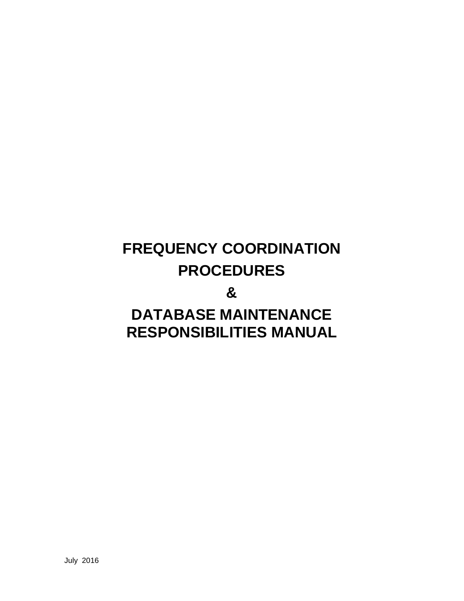# **FREQUENCY COORDINATION PROCEDURES**

### **&**

## **DATABASE MAINTENANCE RESPONSIBILITIES MANUAL**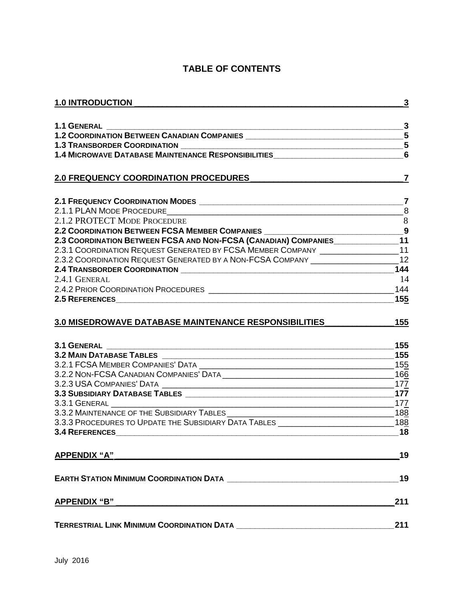#### **TABLE OF CONTENTS**

| <b>1.0 INTRODUCTION</b>                                                                                                                                                                                                       | $\mathbf{3}$    |
|-------------------------------------------------------------------------------------------------------------------------------------------------------------------------------------------------------------------------------|-----------------|
| $\frac{1}{2}$ 3                                                                                                                                                                                                               |                 |
|                                                                                                                                                                                                                               |                 |
|                                                                                                                                                                                                                               |                 |
| 1.4 MICROWAVE DATABASE MAINTENANCE RESPONSIBILITIES                                                                                                                                                                           | $6\phantom{1}6$ |
| <b>2.0 FREQUENCY COORDINATION PROCEDURES</b>                                                                                                                                                                                  | $\overline{7}$  |
|                                                                                                                                                                                                                               |                 |
|                                                                                                                                                                                                                               |                 |
| 2.1.2 PROTECT MODE PROCEDURE                                                                                                                                                                                                  | 8               |
| 2.2 COORDINATION BETWEEN FCSA MEMBER COMPANIES _________________________________9                                                                                                                                             |                 |
| 2.3 COORDINATION BETWEEN FCSA AND NON-FCSA (CANADIAN) COMPANIES                                                                                                                                                               |                 |
| 2.3.1 COORDINATION REQUEST GENERATED BY FCSA MEMBER COMPANY ___________________11                                                                                                                                             |                 |
| 2.3.2 COORDINATION REQUEST GENERATED BY A NON-FCSA COMPANY ______________________12                                                                                                                                           |                 |
|                                                                                                                                                                                                                               | 144             |
| 2.4.1 GENERAL                                                                                                                                                                                                                 | 14              |
|                                                                                                                                                                                                                               |                 |
| 2.5 REFERENCES 155                                                                                                                                                                                                            |                 |
| <b>3.0 MISEDROWAVE DATABASE MAINTENANCE RESPONSIBILITIES</b>                                                                                                                                                                  |                 |
| 3.1 GENERAL _______                                                                                                                                                                                                           |                 |
|                                                                                                                                                                                                                               |                 |
|                                                                                                                                                                                                                               |                 |
|                                                                                                                                                                                                                               |                 |
|                                                                                                                                                                                                                               |                 |
|                                                                                                                                                                                                                               |                 |
| $\frac{177}{156}$                                                                                                                                                                                                             |                 |
|                                                                                                                                                                                                                               |                 |
|                                                                                                                                                                                                                               |                 |
| <b>3.4 REFERENCES</b>                                                                                                                                                                                                         | 18              |
| <u>APPENDIX "A"</u>                                                                                                                                                                                                           | 19              |
| EARTH STATION MINIMUM COORDINATION DATA <b>CONSERVERS</b> AND <b>EXAMPLE STATION</b>                                                                                                                                          | 19              |
| APPENDIX "B" and the contract of the contract of the contract of the contract of the contract of the contract of the contract of the contract of the contract of the contract of the contract of the contract of the contract | 211             |
|                                                                                                                                                                                                                               | 211             |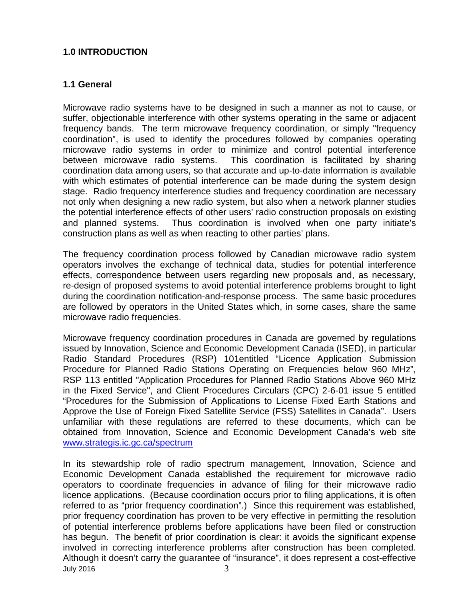#### <span id="page-2-0"></span>**1.0 INTRODUCTION**

#### <span id="page-2-1"></span>**1.1 General**

Microwave radio systems have to be designed in such a manner as not to cause, or suffer, objectionable interference with other systems operating in the same or adjacent frequency bands. The term microwave frequency coordination, or simply "frequency coordination", is used to identify the procedures followed by companies operating microwave radio systems in order to minimize and control potential interference between microwave radio systems. This coordination is facilitated by sharing coordination data among users, so that accurate and up-to-date information is available with which estimates of potential interference can be made during the system design stage. Radio frequency interference studies and frequency coordination are necessary not only when designing a new radio system, but also when a network planner studies the potential interference effects of other users' radio construction proposals on existing and planned systems. Thus coordination is involved when one party initiate's construction plans as well as when reacting to other parties' plans.

The frequency coordination process followed by Canadian microwave radio system operators involves the exchange of technical data, studies for potential interference effects, correspondence between users regarding new proposals and, as necessary, re-design of proposed systems to avoid potential interference problems brought to light during the coordination notification-and-response process. The same basic procedures are followed by operators in the United States which, in some cases, share the same microwave radio frequencies.

Microwave frequency coordination procedures in Canada are governed by regulations issued by Innovation, Science and Economic Development Canada (ISED), in particular Radio Standard Procedures (RSP) 101entitled "Licence Application Submission Procedure for Planned Radio Stations Operating on Frequencies below 960 MHz", RSP 113 entitled "Application Procedures for Planned Radio Stations Above 960 MHz in the Fixed Service", and Client Procedures Circulars (CPC) 2-6-01 issue 5 entitled "Procedures for the Submission of Applications to License Fixed Earth Stations and Approve the Use of Foreign Fixed Satellite Service (FSS) Satellites in Canada". Users unfamiliar with these regulations are referred to these documents, which can be obtained from Innovation, Science and Economic Development Canada's web site [www.strategis.ic.gc.ca/spectrum](http://www.strategis.ic.gc.ca/spectrum)

July 2016  $\overline{3}$ In its stewardship role of radio spectrum management, Innovation, Science and Economic Development Canada established the requirement for microwave radio operators to coordinate frequencies in advance of filing for their microwave radio licence applications. (Because coordination occurs prior to filing applications, it is often referred to as "prior frequency coordination".) Since this requirement was established, prior frequency coordination has proven to be very effective in permitting the resolution of potential interference problems before applications have been filed or construction has begun. The benefit of prior coordination is clear: it avoids the significant expense involved in correcting interference problems after construction has been completed. Although it doesn't carry the guarantee of "insurance", it does represent a cost-effective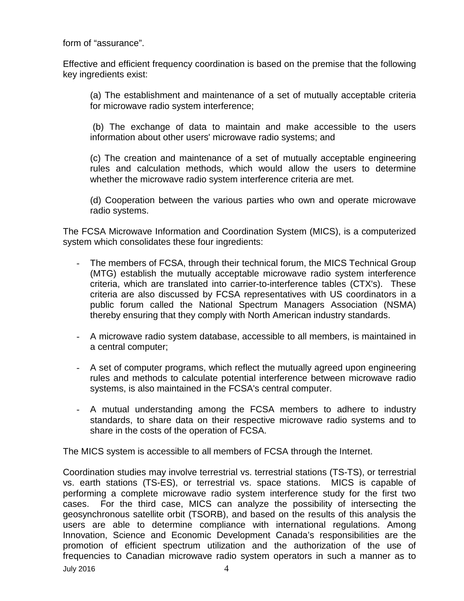form of "assurance".

Effective and efficient frequency coordination is based on the premise that the following key ingredients exist:

(a) The establishment and maintenance of a set of mutually acceptable criteria for microwave radio system interference;

(b) The exchange of data to maintain and make accessible to the users information about other users' microwave radio systems; and

(c) The creation and maintenance of a set of mutually acceptable engineering rules and calculation methods, which would allow the users to determine whether the microwave radio system interference criteria are met.

(d) Cooperation between the various parties who own and operate microwave radio systems.

The FCSA Microwave Information and Coordination System (MICS), is a computerized system which consolidates these four ingredients:

- The members of FCSA, through their technical forum, the MICS Technical Group (MTG) establish the mutually acceptable microwave radio system interference criteria, which are translated into carrier-to-interference tables (CTX's). These criteria are also discussed by FCSA representatives with US coordinators in a public forum called the National Spectrum Managers Association (NSMA) thereby ensuring that they comply with North American industry standards.
- A microwave radio system database, accessible to all members, is maintained in a central computer;
- A set of computer programs, which reflect the mutually agreed upon engineering rules and methods to calculate potential interference between microwave radio systems, is also maintained in the FCSA's central computer.
- A mutual understanding among the FCSA members to adhere to industry standards, to share data on their respective microwave radio systems and to share in the costs of the operation of FCSA.

The MICS system is accessible to all members of FCSA through the Internet.

July 2016  $\sim$  4 Coordination studies may involve terrestrial vs. terrestrial stations (TS-TS), or terrestrial vs. earth stations (TS-ES), or terrestrial vs. space stations. MICS is capable of performing a complete microwave radio system interference study for the first two cases. For the third case, MICS can analyze the possibility of intersecting the geosynchronous satellite orbit (TSORB), and based on the results of this analysis the users are able to determine compliance with international regulations. Among Innovation, Science and Economic Development Canada's responsibilities are the promotion of efficient spectrum utilization and the authorization of the use of frequencies to Canadian microwave radio system operators in such a manner as to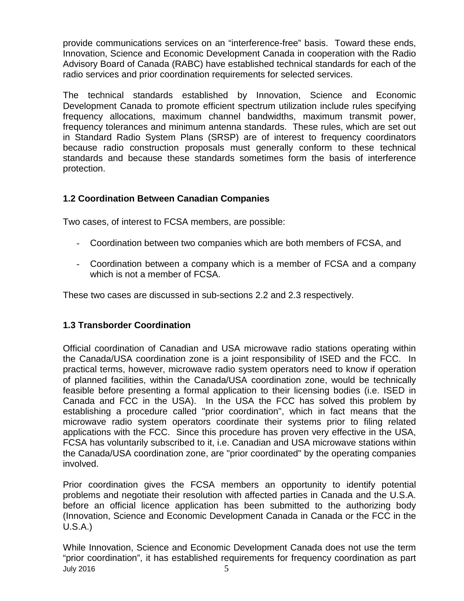provide communications services on an "interference-free" basis. Toward these ends, Innovation, Science and Economic Development Canada in cooperation with the Radio Advisory Board of Canada (RABC) have established technical standards for each of the radio services and prior coordination requirements for selected services.

The technical standards established by Innovation, Science and Economic Development Canada to promote efficient spectrum utilization include rules specifying frequency allocations, maximum channel bandwidths, maximum transmit power, frequency tolerances and minimum antenna standards. These rules, which are set out in Standard Radio System Plans (SRSP) are of interest to frequency coordinators because radio construction proposals must generally conform to these technical standards and because these standards sometimes form the basis of interference protection.

#### <span id="page-4-0"></span>**1.2 Coordination Between Canadian Companies**

Two cases, of interest to FCSA members, are possible:

- Coordination between two companies which are both members of FCSA, and
- Coordination between a company which is a member of FCSA and a company which is not a member of FCSA.

These two cases are discussed in sub-sections 2.2 and 2.3 respectively.

#### <span id="page-4-1"></span>**1.3 Transborder Coordination**

Official coordination of Canadian and USA microwave radio stations operating within the Canada/USA coordination zone is a joint responsibility of ISED and the FCC. In practical terms, however, microwave radio system operators need to know if operation of planned facilities, within the Canada/USA coordination zone, would be technically feasible before presenting a formal application to their licensing bodies (i.e. ISED in Canada and FCC in the USA). In the USA the FCC has solved this problem by establishing a procedure called "prior coordination", which in fact means that the microwave radio system operators coordinate their systems prior to filing related applications with the FCC. Since this procedure has proven very effective in the USA, FCSA has voluntarily subscribed to it, i.e. Canadian and USA microwave stations within the Canada/USA coordination zone, are "prior coordinated" by the operating companies involved.

Prior coordination gives the FCSA members an opportunity to identify potential problems and negotiate their resolution with affected parties in Canada and the U.S.A. before an official licence application has been submitted to the authorizing body (Innovation, Science and Economic Development Canada in Canada or the FCC in the U.S.A.)

July 2016  $\overline{5}$ While Innovation, Science and Economic Development Canada does not use the term "prior coordination", it has established requirements for frequency coordination as part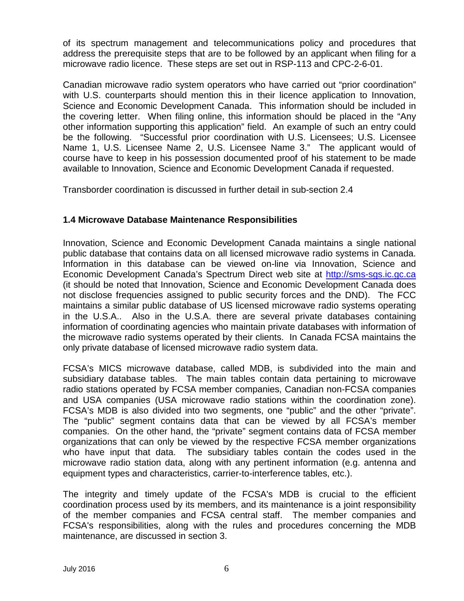of its spectrum management and telecommunications policy and procedures that address the prerequisite steps that are to be followed by an applicant when filing for a microwave radio licence. These steps are set out in RSP-113 and CPC-2-6-01.

Canadian microwave radio system operators who have carried out "prior coordination" with U.S. counterparts should mention this in their licence application to Innovation, Science and Economic Development Canada. This information should be included in the covering letter. When filing online, this information should be placed in the "Any other information supporting this application" field. An example of such an entry could be the following. "Successful prior coordination with U.S. Licensees; U.S. Licensee Name 1, U.S. Licensee Name 2, U.S. Licensee Name 3." The applicant would of course have to keep in his possession documented proof of his statement to be made available to Innovation, Science and Economic Development Canada if requested.

Transborder coordination is discussed in further detail in sub-section 2.4

#### <span id="page-5-0"></span>**1.4 Microwave Database Maintenance Responsibilities**

Innovation, Science and Economic Development Canada maintains a single national public database that contains data on all licensed microwave radio systems in Canada. Information in this database can be viewed on-line via Innovation, Science and Economic Development Canada's Spectrum Direct web site at [http://sms-sgs.ic.gc.ca](http://sms-sgs.ic.gc.ca/)  (it should be noted that Innovation, Science and Economic Development Canada does not disclose frequencies assigned to public security forces and the DND). The FCC maintains a similar public database of US licensed microwave radio systems operating in the U.S.A.. Also in the U.S.A. there are several private databases containing information of coordinating agencies who maintain private databases with information of the microwave radio systems operated by their clients. In Canada FCSA maintains the only private database of licensed microwave radio system data.

FCSA's MICS microwave database, called MDB, is subdivided into the main and subsidiary database tables. The main tables contain data pertaining to microwave radio stations operated by FCSA member companies, Canadian non-FCSA companies and USA companies (USA microwave radio stations within the coordination zone). FCSA's MDB is also divided into two segments, one "public" and the other "private". The "public" segment contains data that can be viewed by all FCSA's member companies. On the other hand, the "private" segment contains data of FCSA member organizations that can only be viewed by the respective FCSA member organizations who have input that data. The subsidiary tables contain the codes used in the microwave radio station data, along with any pertinent information (e.g. antenna and equipment types and characteristics, carrier-to-interference tables, etc.).

The integrity and timely update of the FCSA's MDB is crucial to the efficient coordination process used by its members, and its maintenance is a joint responsibility of the member companies and FCSA central staff. The member companies and FCSA's responsibilities, along with the rules and procedures concerning the MDB maintenance, are discussed in section 3.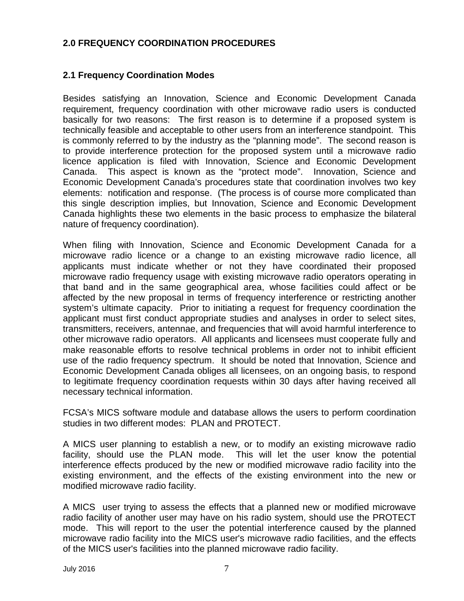#### <span id="page-6-0"></span>**2.0 FREQUENCY COORDINATION PROCEDURES**

#### <span id="page-6-1"></span>**2.1 Frequency Coordination Modes**

Besides satisfying an Innovation, Science and Economic Development Canada requirement, frequency coordination with other microwave radio users is conducted basically for two reasons: The first reason is to determine if a proposed system is technically feasible and acceptable to other users from an interference standpoint. This is commonly referred to by the industry as the "planning mode". The second reason is to provide interference protection for the proposed system until a microwave radio licence application is filed with Innovation, Science and Economic Development Canada. This aspect is known as the "protect mode". Innovation, Science and Economic Development Canada's procedures state that coordination involves two key elements: notification and response. (The process is of course more complicated than this single description implies, but Innovation, Science and Economic Development Canada highlights these two elements in the basic process to emphasize the bilateral nature of frequency coordination).

When filing with Innovation, Science and Economic Development Canada for a microwave radio licence or a change to an existing microwave radio licence, all applicants must indicate whether or not they have coordinated their proposed microwave radio frequency usage with existing microwave radio operators operating in that band and in the same geographical area, whose facilities could affect or be affected by the new proposal in terms of frequency interference or restricting another system's ultimate capacity. Prior to initiating a request for frequency coordination the applicant must first conduct appropriate studies and analyses in order to select sites, transmitters, receivers, antennae, and frequencies that will avoid harmful interference to other microwave radio operators. All applicants and licensees must cooperate fully and make reasonable efforts to resolve technical problems in order not to inhibit efficient use of the radio frequency spectrum. It should be noted that Innovation, Science and Economic Development Canada obliges all licensees, on an ongoing basis, to respond to legitimate frequency coordination requests within 30 days after having received all necessary technical information.

FCSA's MICS software module and database allows the users to perform coordination studies in two different modes: PLAN and PROTECT.

A MICS user planning to establish a new, or to modify an existing microwave radio facility, should use the PLAN mode. This will let the user know the potential interference effects produced by the new or modified microwave radio facility into the existing environment, and the effects of the existing environment into the new or modified microwave radio facility.

A MICS user trying to assess the effects that a planned new or modified microwave radio facility of another user may have on his radio system, should use the PROTECT mode. This will report to the user the potential interference caused by the planned microwave radio facility into the MICS user's microwave radio facilities, and the effects of the MICS user's facilities into the planned microwave radio facility.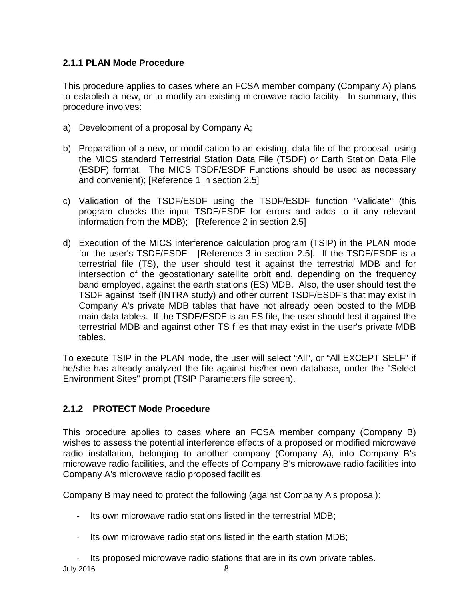#### <span id="page-7-0"></span>**2.1.1 PLAN Mode Procedure**

This procedure applies to cases where an FCSA member company (Company A) plans to establish a new, or to modify an existing microwave radio facility. In summary, this procedure involves:

- a) Development of a proposal by Company A;
- b) Preparation of a new, or modification to an existing, data file of the proposal, using the MICS standard Terrestrial Station Data File (TSDF) or Earth Station Data File (ESDF) format. The MICS TSDF/ESDF Functions should be used as necessary and convenient); [Reference 1 in section 2.5]
- c) Validation of the TSDF/ESDF using the TSDF/ESDF function "Validate" (this program checks the input TSDF/ESDF for errors and adds to it any relevant information from the MDB); [Reference 2 in section 2.5]
- d) Execution of the MICS interference calculation program (TSIP) in the PLAN mode for the user's TSDF/ESDF [Reference 3 in section 2.5]. If the TSDF/ESDF is a terrestrial file (TS), the user should test it against the terrestrial MDB and for intersection of the geostationary satellite orbit and, depending on the frequency band employed, against the earth stations (ES) MDB. Also, the user should test the TSDF against itself (INTRA study) and other current TSDF/ESDF's that may exist in Company A's private MDB tables that have not already been posted to the MDB main data tables. If the TSDF/ESDF is an ES file, the user should test it against the terrestrial MDB and against other TS files that may exist in the user's private MDB tables.

To execute TSIP in the PLAN mode, the user will select "All", or "All EXCEPT SELF" if he/she has already analyzed the file against his/her own database, under the "Select Environment Sites" prompt (TSIP Parameters file screen).

#### **2.1.2 PROTECT Mode Procedure**

This procedure applies to cases where an FCSA member company (Company B) wishes to assess the potential interference effects of a proposed or modified microwave radio installation, belonging to another company (Company A), into Company B's microwave radio facilities, and the effects of Company B's microwave radio facilities into Company A's microwave radio proposed facilities.

Company B may need to protect the following (against Company A's proposal):

- Its own microwave radio stations listed in the terrestrial MDB;
- Its own microwave radio stations listed in the earth station MDB;

July 2016  $\sim$  8 Its proposed microwave radio stations that are in its own private tables.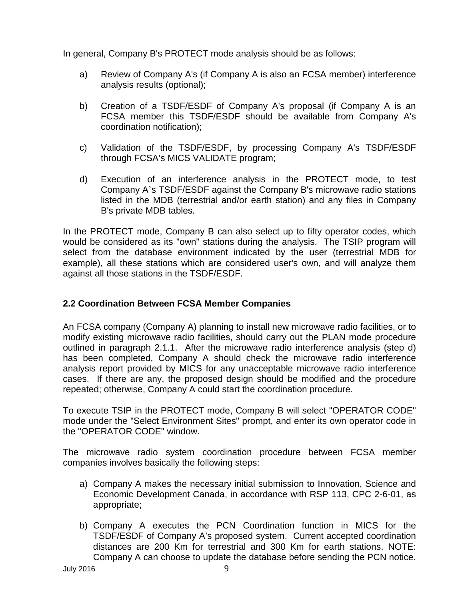In general, Company B's PROTECT mode analysis should be as follows:

- a) Review of Company A's (if Company A is also an FCSA member) interference analysis results (optional);
- b) Creation of a TSDF/ESDF of Company A's proposal (if Company A is an FCSA member this TSDF/ESDF should be available from Company A's coordination notification);
- c) Validation of the TSDF/ESDF, by processing Company A's TSDF/ESDF through FCSA's MICS VALIDATE program;
- d) Execution of an interference analysis in the PROTECT mode, to test Company A`s TSDF/ESDF against the Company B's microwave radio stations listed in the MDB (terrestrial and/or earth station) and any files in Company B's private MDB tables.

In the PROTECT mode, Company B can also select up to fifty operator codes, which would be considered as its "own" stations during the analysis. The TSIP program will select from the database environment indicated by the user (terrestrial MDB for example), all these stations which are considered user's own, and will analyze them against all those stations in the TSDF/ESDF.

#### <span id="page-8-0"></span>**2.2 Coordination Between FCSA Member Companies**

An FCSA company (Company A) planning to install new microwave radio facilities, or to modify existing microwave radio facilities, should carry out the PLAN mode procedure outlined in paragraph 2.1.1. After the microwave radio interference analysis (step d) has been completed, Company A should check the microwave radio interference analysis report provided by MICS for any unacceptable microwave radio interference cases. If there are any, the proposed design should be modified and the procedure repeated; otherwise, Company A could start the coordination procedure.

To execute TSIP in the PROTECT mode, Company B will select "OPERATOR CODE" mode under the "Select Environment Sites" prompt, and enter its own operator code in the "OPERATOR CODE" window.

The microwave radio system coordination procedure between FCSA member companies involves basically the following steps:

- a) Company A makes the necessary initial submission to Innovation, Science and Economic Development Canada, in accordance with RSP 113, CPC 2-6-01, as appropriate;
- b) Company A executes the PCN Coordination function in MICS for the TSDF/ESDF of Company A's proposed system. Current accepted coordination distances are 200 Km for terrestrial and 300 Km for earth stations. NOTE: Company A can choose to update the database before sending the PCN notice.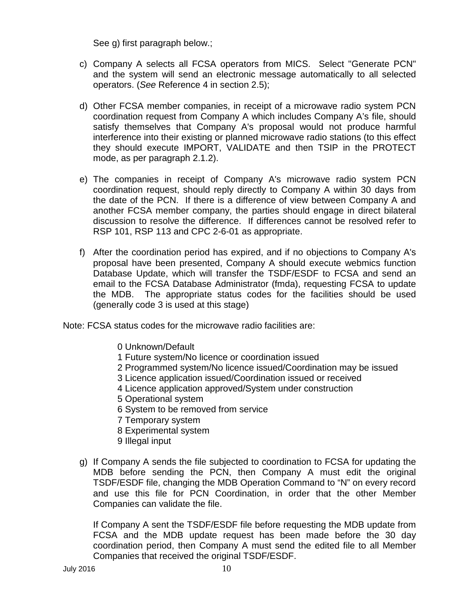See g) first paragraph below.;

- c) Company A selects all FCSA operators from MICS. Select "Generate PCN" and the system will send an electronic message automatically to all selected operators. (*See* Reference 4 in section 2.5);
- d) Other FCSA member companies, in receipt of a microwave radio system PCN coordination request from Company A which includes Company A's file, should satisfy themselves that Company A's proposal would not produce harmful interference into their existing or planned microwave radio stations (to this effect they should execute IMPORT, VALIDATE and then TSIP in the PROTECT mode, as per paragraph 2.1.2).
- e) The companies in receipt of Company A's microwave radio system PCN coordination request, should reply directly to Company A within 30 days from the date of the PCN. If there is a difference of view between Company A and another FCSA member company, the parties should engage in direct bilateral discussion to resolve the difference. If differences cannot be resolved refer to RSP 101, RSP 113 and CPC 2-6-01 as appropriate.
- f) After the coordination period has expired, and if no objections to Company A's proposal have been presented, Company A should execute webmics function Database Update, which will transfer the TSDF/ESDF to FCSA and send an email to the FCSA Database Administrator (fmda), requesting FCSA to update the MDB. The appropriate status codes for the facilities should be used (generally code 3 is used at this stage)

Note: FCSA status codes for the microwave radio facilities are:

- 0 Unknown/Default
- 1 Future system/No licence or coordination issued
- 2 Programmed system/No licence issued/Coordination may be issued
- 3 Licence application issued/Coordination issued or received
- 4 Licence application approved/System under construction
- 5 Operational system
- 6 System to be removed from service
- 7 Temporary system
- 8 Experimental system
- 9 Illegal input
- g) If Company A sends the file subjected to coordination to FCSA for updating the MDB before sending the PCN, then Company A must edit the original TSDF/ESDF file, changing the MDB Operation Command to "N" on every record and use this file for PCN Coordination, in order that the other Member Companies can validate the file.

If Company A sent the TSDF/ESDF file before requesting the MDB update from FCSA and the MDB update request has been made before the 30 day coordination period, then Company A must send the edited file to all Member Companies that received the original TSDF/ESDF.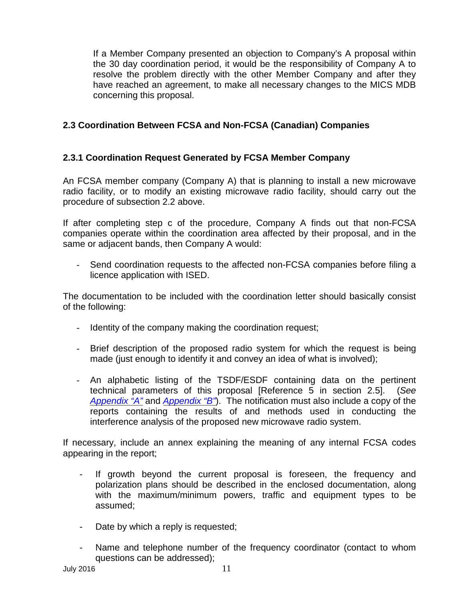If a Member Company presented an objection to Company's A proposal within the 30 day coordination period, it would be the responsibility of Company A to resolve the problem directly with the other Member Company and after they have reached an agreement, to make all necessary changes to the MICS MDB concerning this proposal.

#### <span id="page-10-0"></span>**2.3 Coordination Between FCSA and Non-FCSA (Canadian) Companies**

#### <span id="page-10-1"></span>**2.3.1 Coordination Request Generated by FCSA Member Company**

An FCSA member company (Company A) that is planning to install a new microwave radio facility, or to modify an existing microwave radio facility, should carry out the procedure of subsection 2.2 above.

If after completing step c of the procedure, Company A finds out that non-FCSA companies operate within the coordination area affected by their proposal, and in the same or adjacent bands, then Company A would:

- Send coordination requests to the affected non-FCSA companies before filing a licence application with ISED.

The documentation to be included with the coordination letter should basically consist of the following:

- Identity of the company making the coordination request;
- Brief description of the proposed radio system for which the request is being made (just enough to identify it and convey an idea of what is involved);
- An alphabetic listing of the TSDF/ESDF containing data on the pertinent technical parameters of this proposal [Reference 5 in section 2.5]. (*See [Appendix "A"](#page-18-0)* and *[Appendix "B"](#page-20-1)*). The notification must also include a copy of the reports containing the results of and methods used in conducting the interference analysis of the proposed new microwave radio system.

If necessary, include an annex explaining the meaning of any internal FCSA codes appearing in the report;

- If growth beyond the current proposal is foreseen, the frequency and polarization plans should be described in the enclosed documentation, along with the maximum/minimum powers, traffic and equipment types to be assumed;
- Date by which a reply is requested;
- Name and telephone number of the frequency coordinator (contact to whom questions can be addressed);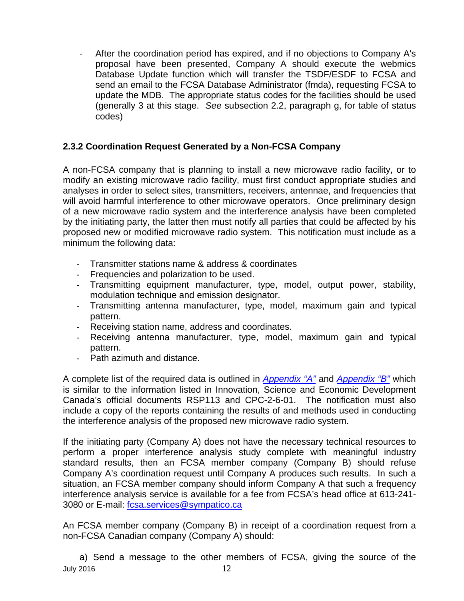- After the coordination period has expired, and if no objections to Company A's proposal have been presented, Company A should execute the webmics Database Update function which will transfer the TSDF/ESDF to FCSA and send an email to the FCSA Database Administrator (fmda), requesting FCSA to update the MDB. The appropriate status codes for the facilities should be used (generally 3 at this stage. *See* subsection 2.2, paragraph g, for table of status codes)

#### <span id="page-11-0"></span>**2.3.2 Coordination Request Generated by a Non-FCSA Company**

A non-FCSA company that is planning to install a new microwave radio facility, or to modify an existing microwave radio facility, must first conduct appropriate studies and analyses in order to select sites, transmitters, receivers, antennae, and frequencies that will avoid harmful interference to other microwave operators. Once preliminary design of a new microwave radio system and the interference analysis have been completed by the initiating party, the latter then must notify all parties that could be affected by his proposed new or modified microwave radio system. This notification must include as a minimum the following data:

- Transmitter stations name & address & coordinates
- Frequencies and polarization to be used.
- Transmitting equipment manufacturer, type, model, output power, stability, modulation technique and emission designator.
- Transmitting antenna manufacturer, type, model, maximum gain and typical pattern.
- Receiving station name, address and coordinates.
- Receiving antenna manufacturer, type, model, maximum gain and typical pattern.
- Path azimuth and distance.

A complete list of the required data is outlined in *[Appendix "A"](#page-18-0)* and *[Appendix "B"](#page-20-1)* which is similar to the information listed in Innovation, Science and Economic Development Canada's official documents RSP113 and CPC-2-6-01. The notification must also include a copy of the reports containing the results of and methods used in conducting the interference analysis of the proposed new microwave radio system.

If the initiating party (Company A) does not have the necessary technical resources to perform a proper interference analysis study complete with meaningful industry standard results, then an FCSA member company (Company B) should refuse Company A's coordination request until Company A produces such results. In such a situation, an FCSA member company should inform Company A that such a frequency interference analysis service is available for a fee from FCSA's head office at 613-241 3080 or E-mail: [fcsa.services@sympatico.ca](mailto:fcsa.services@sympatico.ca)

An FCSA member company (Company B) in receipt of a coordination request from a non-FCSA Canadian company (Company A) should:

**July 2016** 12 a) Send a message to the other members of FCSA, giving the source of the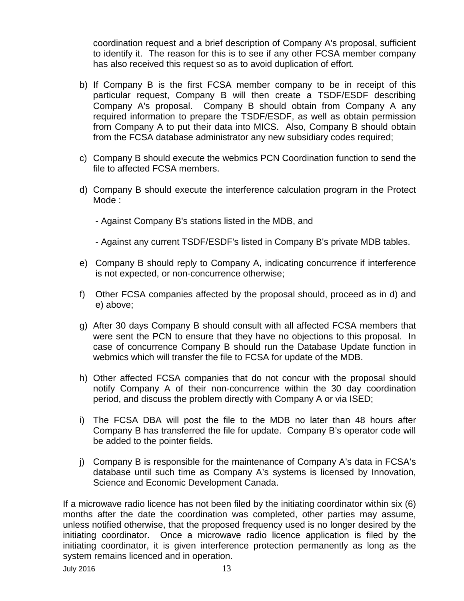coordination request and a brief description of Company A's proposal, sufficient to identify it. The reason for this is to see if any other FCSA member company has also received this request so as to avoid duplication of effort.

- b) If Company B is the first FCSA member company to be in receipt of this particular request, Company B will then create a TSDF/ESDF describing Company A's proposal. Company B should obtain from Company A any required information to prepare the TSDF/ESDF, as well as obtain permission from Company A to put their data into MICS. Also, Company B should obtain from the FCSA database administrator any new subsidiary codes required;
- c) Company B should execute the webmics PCN Coordination function to send the file to affected FCSA members.
- d) Company B should execute the interference calculation program in the Protect Mode :
	- Against Company B's stations listed in the MDB, and
	- Against any current TSDF/ESDF's listed in Company B's private MDB tables.
- e) Company B should reply to Company A, indicating concurrence if interference is not expected, or non-concurrence otherwise;
- f) Other FCSA companies affected by the proposal should, proceed as in d) and e) above;
- g) After 30 days Company B should consult with all affected FCSA members that were sent the PCN to ensure that they have no objections to this proposal. In case of concurrence Company B should run the Database Update function in webmics which will transfer the file to FCSA for update of the MDB.
- h) Other affected FCSA companies that do not concur with the proposal should notify Company A of their non-concurrence within the 30 day coordination period, and discuss the problem directly with Company A or via ISED;
- i) The FCSA DBA will post the file to the MDB no later than 48 hours after Company B has transferred the file for update. Company B's operator code will be added to the pointer fields.
- j) Company B is responsible for the maintenance of Company A's data in FCSA's database until such time as Company A's systems is licensed by Innovation, Science and Economic Development Canada.

If a microwave radio licence has not been filed by the initiating coordinator within six (6) months after the date the coordination was completed, other parties may assume, unless notified otherwise, that the proposed frequency used is no longer desired by the initiating coordinator. Once a microwave radio licence application is filed by the initiating coordinator, it is given interference protection permanently as long as the system remains licenced and in operation.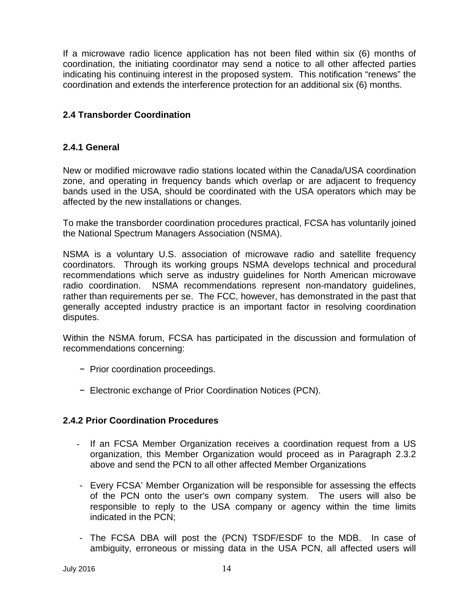If a microwave radio licence application has not been filed within six (6) months of coordination, the initiating coordinator may send a notice to all other affected parties indicating his continuing interest in the proposed system. This notification "renews" the coordination and extends the interference protection for an additional six (6) months.

#### <span id="page-13-0"></span>**2.4 Transborder Coordination**

#### **2.4.1 General**

New or modified microwave radio stations located within the Canada/USA coordination zone, and operating in frequency bands which overlap or are adjacent to frequency bands used in the USA, should be coordinated with the USA operators which may be affected by the new installations or changes.

To make the transborder coordination procedures practical, FCSA has voluntarily joined the National Spectrum Managers Association (NSMA).

NSMA is a voluntary U.S. association of microwave radio and satellite frequency coordinators. Through its working groups NSMA develops technical and procedural recommendations which serve as industry guidelines for North American microwave radio coordination. NSMA recommendations represent non-mandatory guidelines, rather than requirements per se. The FCC, however, has demonstrated in the past that generally accepted industry practice is an important factor in resolving coordination disputes.

Within the NSMA forum, FCSA has participated in the discussion and formulation of recommendations concerning:

- − Prior coordination proceedings.
- − Electronic exchange of Prior Coordination Notices (PCN).

#### <span id="page-13-1"></span>**2.4.2 Prior Coordination Procedures**

- If an FCSA Member Organization receives a coordination request from a US organization, this Member Organization would proceed as in Paragraph 2.3.2 above and send the PCN to all other affected Member Organizations
- Every FCSA' Member Organization will be responsible for assessing the effects of the PCN onto the user's own company system. The users will also be responsible to reply to the USA company or agency within the time limits indicated in the PCN;
- The FCSA DBA will post the (PCN) TSDF/ESDF to the MDB. In case of ambiguity, erroneous or missing data in the USA PCN, all affected users will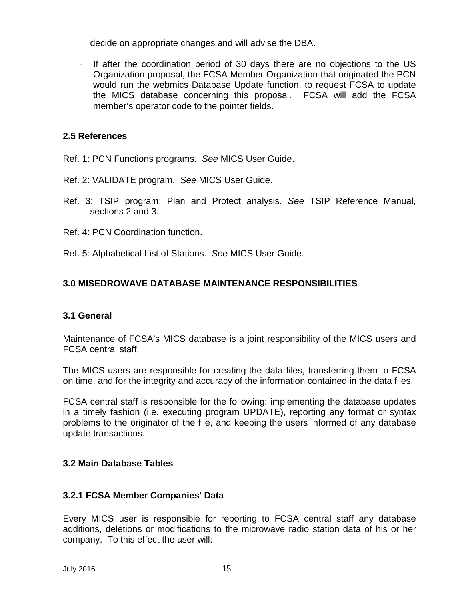decide on appropriate changes and will advise the DBA.

If after the coordination period of 30 days there are no objections to the US Organization proposal, the FCSA Member Organization that originated the PCN would run the webmics Database Update function, to request FCSA to update the MICS database concerning this proposal. FCSA will add the FCSA member's operator code to the pointer fields.

#### <span id="page-14-0"></span>**2.5 References**

- Ref. 1: PCN Functions programs. *See* MICS User Guide.
- Ref. 2: VALIDATE program. *See* MICS User Guide.
- Ref. 3: TSIP program; Plan and Protect analysis. *See* TSIP Reference Manual, sections 2 and 3.
- Ref. 4: PCN Coordination function.
- Ref. 5: Alphabetical List of Stations. *See* MICS User Guide.

#### <span id="page-14-1"></span>**3.0 MISEDROWAVE DATABASE MAINTENANCE RESPONSIBILITIES**

#### <span id="page-14-2"></span>**3.1 General**

Maintenance of FCSA's MICS database is a joint responsibility of the MICS users and FCSA central staff.

The MICS users are responsible for creating the data files, transferring them to FCSA on time, and for the integrity and accuracy of the information contained in the data files.

FCSA central staff is responsible for the following: implementing the database updates in a timely fashion (i.e. executing program UPDATE), reporting any format or syntax problems to the originator of the file, and keeping the users informed of any database update transactions.

#### <span id="page-14-3"></span>**3.2 Main Database Tables**

#### <span id="page-14-4"></span>**3.2.1 FCSA Member Companies' Data**

Every MICS user is responsible for reporting to FCSA central staff any database additions, deletions or modifications to the microwave radio station data of his or her company. To this effect the user will: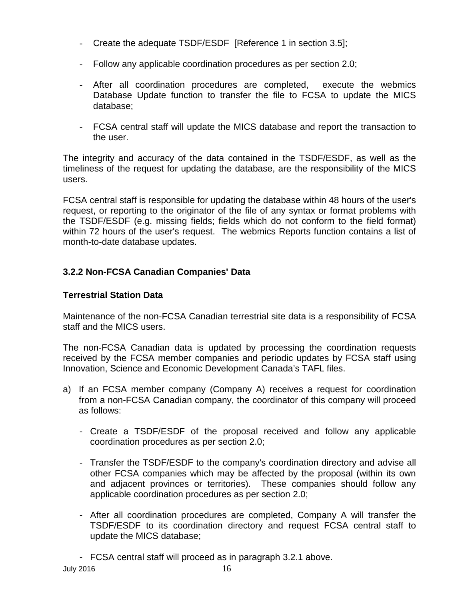- Create the adequate TSDF/ESDF [Reference 1 in section 3.5];
- Follow any applicable coordination procedures as per section 2.0;
- After all coordination procedures are completed, execute the webmics Database Update function to transfer the file to FCSA to update the MICS database;
- FCSA central staff will update the MICS database and report the transaction to the user.

The integrity and accuracy of the data contained in the TSDF/ESDF, as well as the timeliness of the request for updating the database, are the responsibility of the MICS users.

FCSA central staff is responsible for updating the database within 48 hours of the user's request, or reporting to the originator of the file of any syntax or format problems with the TSDF/ESDF (e.g. missing fields; fields which do not conform to the field format) within 72 hours of the user's request. The webmics Reports function contains a list of month-to-date database updates.

#### <span id="page-15-0"></span>**3.2.2 Non-FCSA Canadian Companies' Data**

#### **Terrestrial Station Data**

Maintenance of the non-FCSA Canadian terrestrial site data is a responsibility of FCSA staff and the MICS users.

The non-FCSA Canadian data is updated by processing the coordination requests received by the FCSA member companies and periodic updates by FCSA staff using Innovation, Science and Economic Development Canada's TAFL files.

- a) If an FCSA member company (Company A) receives a request for coordination from a non-FCSA Canadian company, the coordinator of this company will proceed as follows:
	- Create a TSDF/ESDF of the proposal received and follow any applicable coordination procedures as per section 2.0;
	- Transfer the TSDF/ESDF to the company's coordination directory and advise all other FCSA companies which may be affected by the proposal (within its own and adjacent provinces or territories). These companies should follow any applicable coordination procedures as per section 2.0;
	- After all coordination procedures are completed, Company A will transfer the TSDF/ESDF to its coordination directory and request FCSA central staff to update the MICS database;
	- FCSA central staff will proceed as in paragraph 3.2.1 above.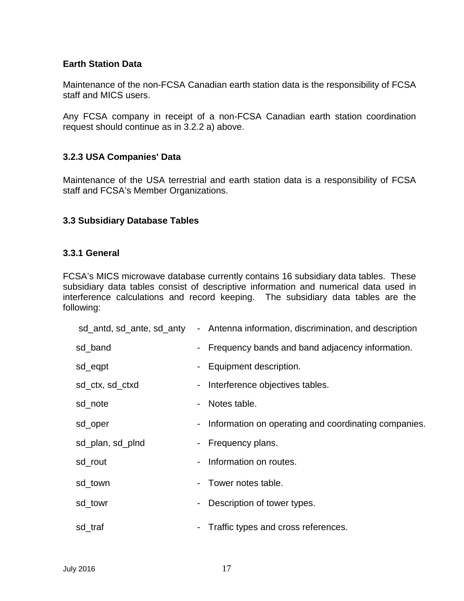#### **Earth Station Data**

Maintenance of the non-FCSA Canadian earth station data is the responsibility of FCSA staff and MICS users.

Any FCSA company in receipt of a non-FCSA Canadian earth station coordination request should continue as in 3.2.2 a) above.

#### <span id="page-16-0"></span>**3.2.3 USA Companies' Data**

Maintenance of the USA terrestrial and earth station data is a responsibility of FCSA staff and FCSA's Member Organizations.

#### <span id="page-16-1"></span>**3.3 Subsidiary Database Tables**

#### <span id="page-16-2"></span>**3.3.1 General**

FCSA's MICS microwave database currently contains 16 subsidiary data tables. These subsidiary data tables consist of descriptive information and numerical data used in interference calculations and record keeping. The subsidiary data tables are the following:

| sd_antd, sd_ante, sd_anty |                | - Antenna information, discrimination, and description |
|---------------------------|----------------|--------------------------------------------------------|
| sd_band                   | $\blacksquare$ | Frequency bands and band adjacency information.        |
| sd_eqpt                   | Ξ.             | Equipment description.                                 |
| sd_ctx, sd_ctxd           | $\blacksquare$ | Interference objectives tables.                        |
| sd_note                   | $\blacksquare$ | Notes table.                                           |
| sd_oper                   |                | - Information on operating and coordinating companies. |
| sd_plan, sd_plnd          |                | - Frequency plans.                                     |
| sd_rout                   | -              | Information on routes.                                 |
| sd_town                   | $\sim$         | Tower notes table.                                     |
| sd_towr                   | -              | Description of tower types.                            |
| sd_traf                   | -              | Traffic types and cross references.                    |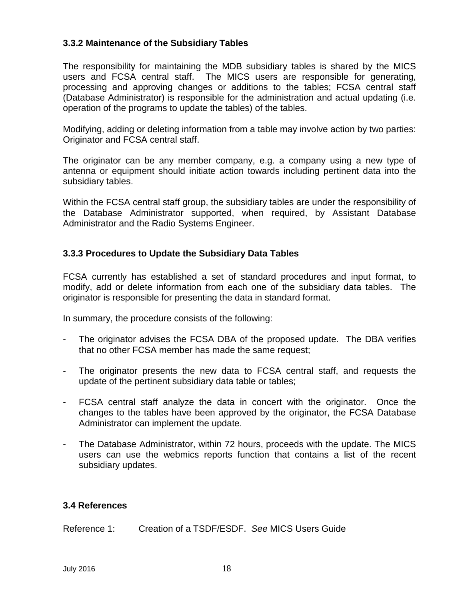#### <span id="page-17-0"></span>**3.3.2 Maintenance of the Subsidiary Tables**

The responsibility for maintaining the MDB subsidiary tables is shared by the MICS users and FCSA central staff. The MICS users are responsible for generating, processing and approving changes or additions to the tables; FCSA central staff (Database Administrator) is responsible for the administration and actual updating (i.e. operation of the programs to update the tables) of the tables.

Modifying, adding or deleting information from a table may involve action by two parties: Originator and FCSA central staff.

The originator can be any member company, e.g. a company using a new type of antenna or equipment should initiate action towards including pertinent data into the subsidiary tables.

Within the FCSA central staff group, the subsidiary tables are under the responsibility of the Database Administrator supported, when required, by Assistant Database Administrator and the Radio Systems Engineer.

#### <span id="page-17-1"></span>**3.3.3 Procedures to Update the Subsidiary Data Tables**

FCSA currently has established a set of standard procedures and input format, to modify, add or delete information from each one of the subsidiary data tables. The originator is responsible for presenting the data in standard format.

In summary, the procedure consists of the following:

- The originator advises the FCSA DBA of the proposed update. The DBA verifies that no other FCSA member has made the same request;
- The originator presents the new data to FCSA central staff, and requests the update of the pertinent subsidiary data table or tables;
- FCSA central staff analyze the data in concert with the originator. Once the changes to the tables have been approved by the originator, the FCSA Database Administrator can implement the update.
- The Database Administrator, within 72 hours, proceeds with the update. The MICS users can use the webmics reports function that contains a list of the recent subsidiary updates.

#### <span id="page-17-2"></span>**3.4 References**

Reference 1: Creation of a TSDF/ESDF. *See* MICS Users Guide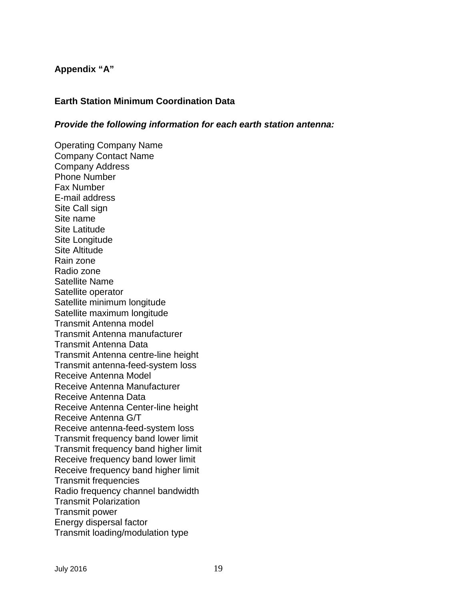#### <span id="page-18-0"></span>**Appendix "A"**

#### <span id="page-18-1"></span>**Earth Station Minimum Coordination Data**

#### *Provide the following information for each earth station antenna:*

Operating Company Name Company Contact Name Company Address Phone Number Fax Number E-mail address Site Call sign Site name Site Latitude Site Longitude Site Altitude Rain zone Radio zone Satellite Name Satellite operator Satellite minimum longitude Satellite maximum longitude Transmit Antenna model Transmit Antenna manufacturer Transmit Antenna Data Transmit Antenna centre-line height Transmit antenna-feed-system loss Receive Antenna Model Receive Antenna Manufacturer Receive Antenna Data Receive Antenna Center-line height Receive Antenna G/T Receive antenna-feed-system loss Transmit frequency band lower limit Transmit frequency band higher limit Receive frequency band lower limit Receive frequency band higher limit Transmit frequencies Radio frequency channel bandwidth Transmit Polarization Transmit power Energy dispersal factor Transmit loading/modulation type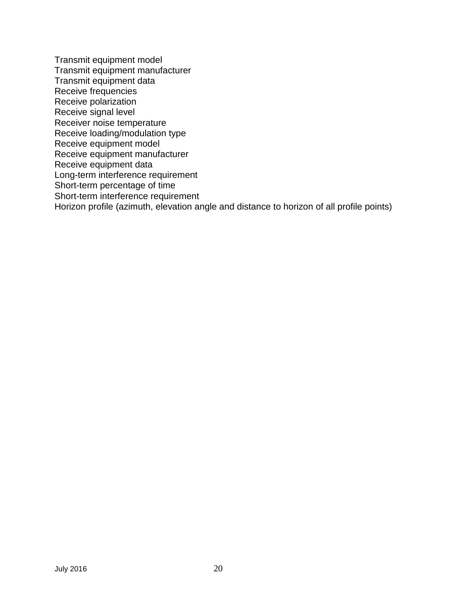Transmit equipment model Transmit equipment manufacturer Transmit equipment data Receive frequencies Receive polarization Receive signal level Receiver noise temperature Receive loading/modulation type Receive equipment model Receive equipment manufacturer Receive equipment data Long-term interference requirement Short-term percentage of time Short-term interference requirement Horizon profile (azimuth, elevation angle and distance to horizon of all profile points)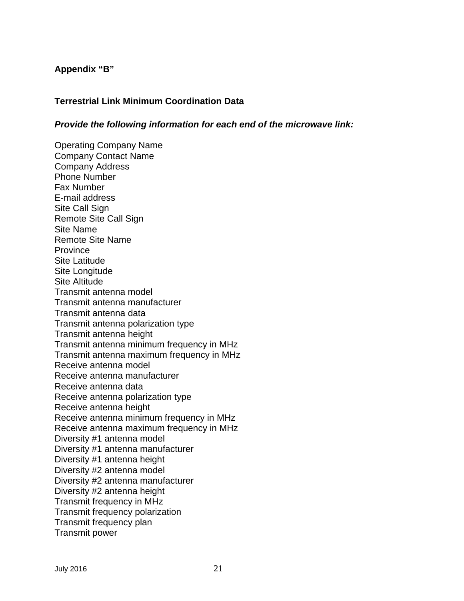#### <span id="page-20-1"></span>**Appendix "B"**

#### <span id="page-20-0"></span>**Terrestrial Link Minimum Coordination Data**

#### *Provide the following information for each end of the microwave link:*

Operating Company Name Company Contact Name Company Address Phone Number Fax Number E-mail address Site Call Sign Remote Site Call Sign Site Name Remote Site Name **Province** Site Latitude Site Longitude Site Altitude Transmit antenna model Transmit antenna manufacturer Transmit antenna data Transmit antenna polarization type Transmit antenna height Transmit antenna minimum frequency in MHz Transmit antenna maximum frequency in MHz Receive antenna model Receive antenna manufacturer Receive antenna data Receive antenna polarization type Receive antenna height Receive antenna minimum frequency in MHz Receive antenna maximum frequency in MHz Diversity #1 antenna model Diversity #1 antenna manufacturer Diversity #1 antenna height Diversity #2 antenna model Diversity #2 antenna manufacturer Diversity #2 antenna height Transmit frequency in MHz Transmit frequency polarization Transmit frequency plan Transmit power